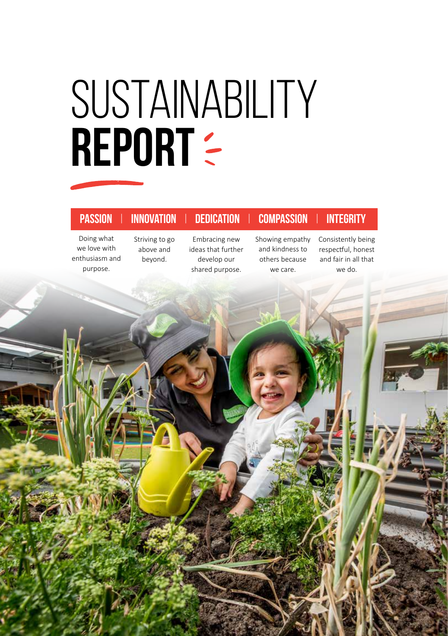# SUSTAINABILITY REPORT :

## **Passion** | **Innovation** | **Dedication** | **Compassion** | **Integrity**

Doing what we love with enthusiasm and purpose.

Striving to go above and beyond.

Embracing new ideas that further develop our shared purpose.

Showing empathy and kindness to others because we care.

Consistently being respectful, honest and fair in all that we do.

**GBB DUCATION LIMITED IN A SUSTAINABILITY REPORT 2019**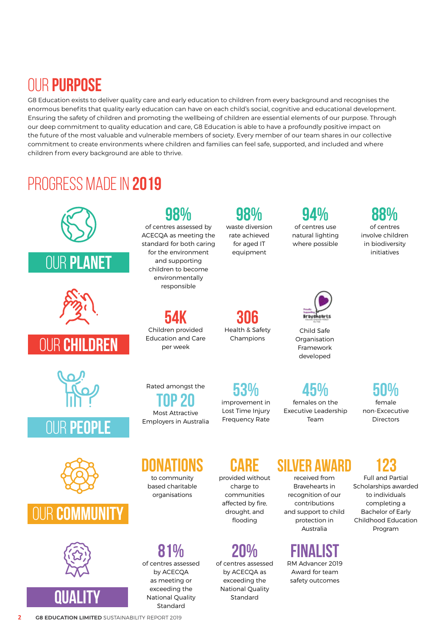## OUR **PURPOSE**

G8 Education exists to deliver quality care and early education to children from every background and recognises the enormous benefits that quality early education can have on each child's social, cognitive and educational development. Ensuring the safety of children and promoting the wellbeing of children are essential elements of our purpose. Through our deep commitment to quality education and care, G8 Education is able to have a profoundly positive impact on the future of the most valuable and vulnerable members of society. Every member of our team shares in our collective commitment to create environments where children and families can feel safe, supported, and included and where children from every background are able to thrive.

## progress made in **2019**



National Quality Standard

**QUALITY** 

exceeding the National Quality Standard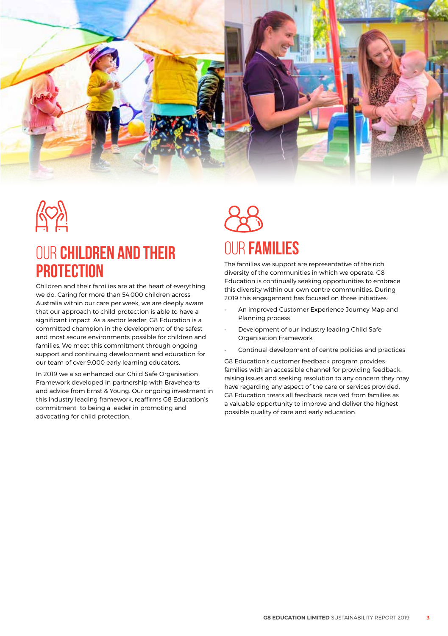

## OUR **CHILDREN and THEIR PROTECTION**

Children and their families are at the heart of everything we do. Caring for more than 54,000 children across Australia within our care per week, we are deeply aware that our approach to child protection is able to have a significant impact. As a sector leader, G8 Education is a committed champion in the development of the safest and most secure environments possible for children and families. We meet this commitment through ongoing support and continuing development and education for our team of over 9,000 early learning educators.

In 2019 we also enhanced our Child Safe Organisation Framework developed in partnership with Bravehearts and advice from Ernst & Young. Our ongoing investment in this industry leading framework, reaffirms G8 Education's commitment to being a leader in promoting and advocating for child protection.

## OUR **FAMILIES**

The families we support are representative of the rich diversity of the communities in which we operate. G8 Education is continually seeking opportunities to embrace this diversity within our own centre communities. During 2019 this engagement has focused on three initiatives:

- An improved Customer Experience Journey Map and Planning process
- Development of our industry leading Child Safe Organisation Framework
- Continual development of centre policies and practices

G8 Education's customer feedback program provides families with an accessible channel for providing feedback, raising issues and seeking resolution to any concern they may have regarding any aspect of the care or services provided. G8 Education treats all feedback received from families as a valuable opportunity to improve and deliver the highest possible quality of care and early education.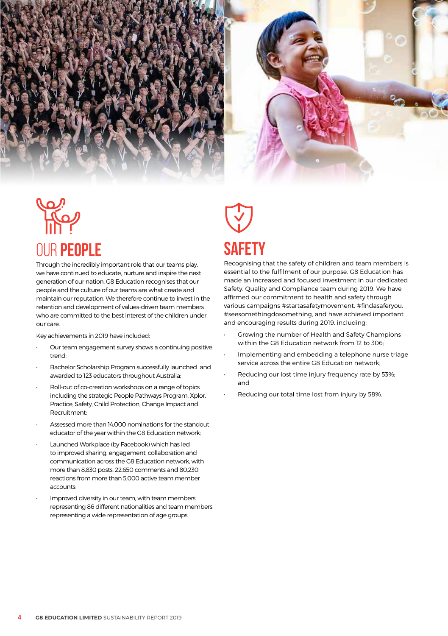

# OUR **PEOPLE**

Through the incredibly important role that our teams play, we have continued to educate, nurture and inspire the next generation of our nation. G8 Education recognises that our people and the culture of our teams are what create and maintain our reputation. We therefore continue to invest in the retention and development of values-driven team members who are committed to the best interest of the children under our care.

Key achievements in 2019 have included:

- Our team engagement survey shows a continuing positive trend;
- Bachelor Scholarship Program successfully launched and awarded to 123 educators throughout Australia;
- Roll-out of co-creation workshops on a range of topics including the strategic People Pathways Program, Xplor, Practice, Safety, Child Protection, Change Impact and Recruitment;
- Assessed more than 14,000 nominations for the standout educator of the year within the G8 Education network;
- Launched Workplace (by Facebook) which has led to improved sharing, engagement, collaboration and communication across the G8 Education network, with more than 8,830 posts, 22,650 comments and 80,230 reactions from more than 5,000 active team member accounts;
- Improved diversity in our team, with team members representing 86 different nationalities and team members representing a wide representation of age groups.

# **sAFETY**

Recognising that the safety of children and team members is essential to the fulfilment of our purpose, G8 Education has made an increased and focused investment in our dedicated Safety, Quality and Compliance team during 2019. We have affirmed our commitment to health and safety through various campaigns #startasafetymovement, #findasaferyou, #seesomethingdosomething, and have achieved important and encouraging results during 2019, including:

- Growing the number of Health and Safety Champions within the G8 Education network from 12 to 306;
- Implementing and embedding a telephone nurse triage service across the entire G8 Education network;
- Reducing our lost time injury frequency rate by 53%; and
- Reducing our total time lost from injury by 58%.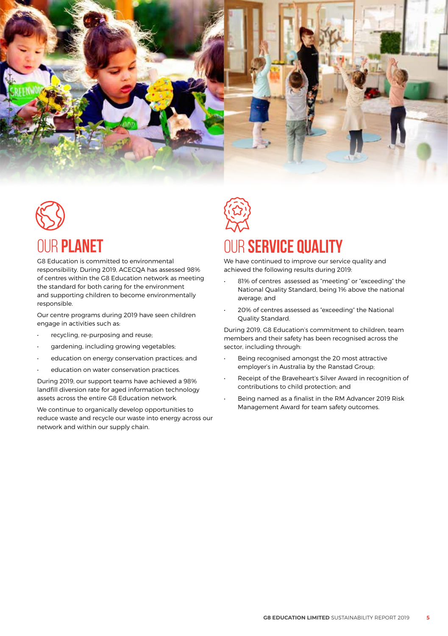

# OUR **PLANET**

G8 Education is committed to environmental responsibility. During 2019, ACECQA has assessed 98% of centres within the G8 Education network as meeting the standard for both caring for the environment and supporting children to become environmentally responsible.

Our centre programs during 2019 have seen children engage in activities such as:

- recycling, re-purposing and reuse;
- gardening, including growing vegetables;
- education on energy conservation practices; and
- education on water conservation practices.

During 2019, our support teams have achieved a 98% landfill diversion rate for aged information technology assets across the entire G8 Education network.

We continue to organically develop opportunities to reduce waste and recycle our waste into energy across our network and within our supply chain.

## OUR **SERVICE QUALITY**

We have continued to improve our service quality and achieved the following results during 2019:

- 81% of centres assessed as "meeting" or "exceeding" the National Quality Standard, being 1% above the national average; and
- 20% of centres assessed as "exceeding" the National Quality Standard.

During 2019, G8 Education's commitment to children, team members and their safety has been recognised across the sector, including through:

- Being recognised amongst the 20 most attractive employer's in Australia by the Ranstad Group;
- Receipt of the Braveheart's Silver Award in recognition of contributions to child protection; and
- Being named as a finalist in the RM Advancer 2019 Risk Management Award for team safety outcomes.